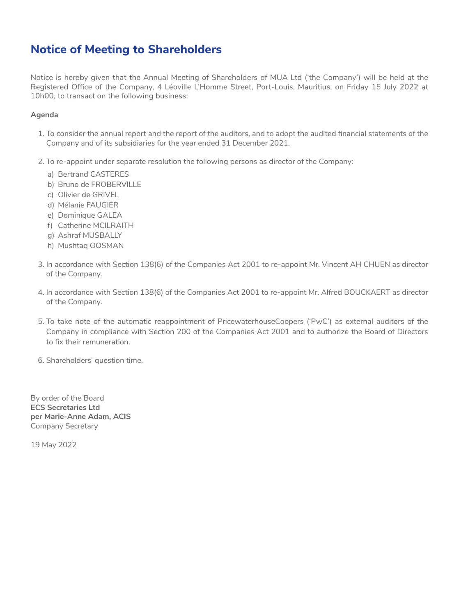## **Notice of Meeting to Shareholders**

Notice is hereby given that the Annual Meeting of Shareholders of MUA Ltd ('the Company') will be held at the Registered Office of the Company, 4 Léoville L'Homme Street, Port-Louis, Mauritius, on Friday 15 July 2022 at 10h00, to transact on the following business:

## **Agenda**

- 1. To consider the annual report and the report of the auditors, and to adopt the audited financial statements of the Company and of its subsidiaries for the year ended 31 December 2021.
- 2. To re-appoint under separate resolution the following persons as director of the Company:
	- a) Bertrand CASTERES
	- b) Bruno de FROBERVILLE
	- c) Olivier de GRIVEL
	- d) Mélanie FAUGIER
	- e) Dominique GALEA
	- f) Catherine MCILRAITH
	- g) Ashraf MUSBALLY
	- h) Mushtaq OOSMAN
- 3. In accordance with Section 138(6) of the Companies Act 2001 to re-appoint Mr. Vincent AH CHUEN as director of the Company.
- 4. In accordance with Section 138(6) of the Companies Act 2001 to re-appoint Mr. Alfred BOUCKAERT as director of the Company.
- 5. To take note of the automatic reappointment of PricewaterhouseCoopers ('PwC') as external auditors of the Company in compliance with Section 200 of the Companies Act 2001 and to authorize the Board of Directors to fix their remuneration.
- 6. Shareholders' question time.

By order of the Board **ECS Secretaries Ltd per Marie-Anne Adam, ACIS** Company Secretary

19 May 2022